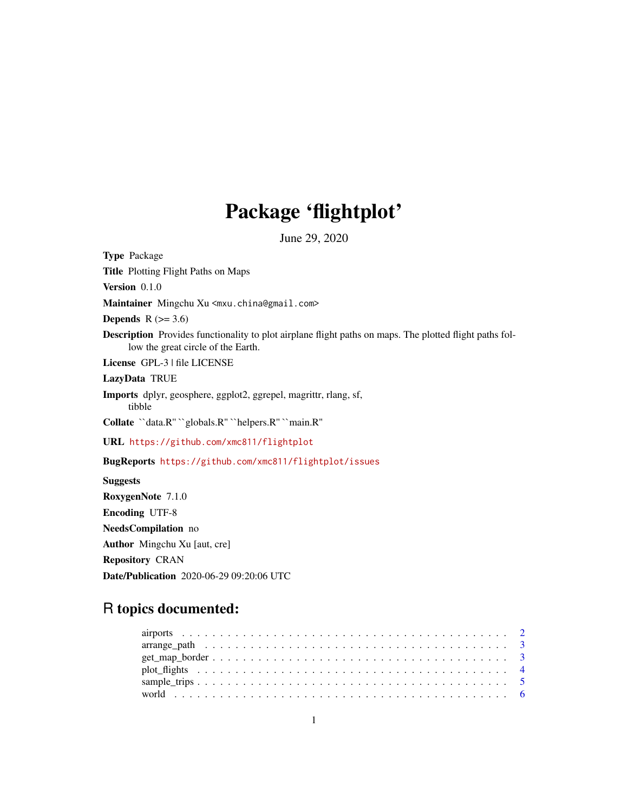## Package 'flightplot'

June 29, 2020

Type Package Title Plotting Flight Paths on Maps Version 0.1.0 Maintainer Mingchu Xu <mxu.china@gmail.com> Depends  $R$  ( $>= 3.6$ ) Description Provides functionality to plot airplane flight paths on maps. The plotted flight paths follow the great circle of the Earth. License GPL-3 | file LICENSE LazyData TRUE Imports dplyr, geosphere, ggplot2, ggrepel, magrittr, rlang, sf, tibble Collate ``data.R'' ``globals.R'' ``helpers.R'' ``main.R'' URL <https://github.com/xmc811/flightplot> BugReports <https://github.com/xmc811/flightplot/issues> Suggests RoxygenNote 7.1.0 Encoding UTF-8 NeedsCompilation no Author Mingchu Xu [aut, cre] Repository CRAN

R topics documented:

Date/Publication 2020-06-29 09:20:06 UTC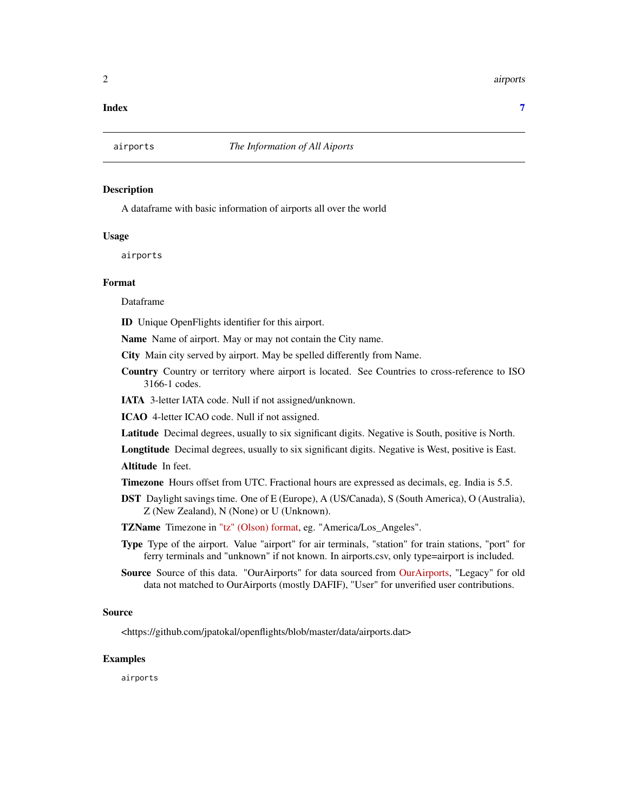#### <span id="page-1-0"></span>2 airports

#### **Index** [7](#page-6-0) **7**

#### Description

A dataframe with basic information of airports all over the world

#### Usage

airports

#### Format

Dataframe

ID Unique OpenFlights identifier for this airport.

Name Name of airport. May or may not contain the City name.

City Main city served by airport. May be spelled differently from Name.

Country Country or territory where airport is located. See Countries to cross-reference to ISO 3166-1 codes.

IATA 3-letter IATA code. Null if not assigned/unknown.

ICAO 4-letter ICAO code. Null if not assigned.

Latitude Decimal degrees, usually to six significant digits. Negative is South, positive is North.

Longtitude Decimal degrees, usually to six significant digits. Negative is West, positive is East.

Altitude In feet.

- Timezone Hours offset from UTC. Fractional hours are expressed as decimals, eg. India is 5.5.
- DST Daylight savings time. One of E (Europe), A (US/Canada), S (South America), O (Australia), Z (New Zealand), N (None) or U (Unknown).

TZName Timezone in ["tz" \(Olson\) format,](http://en.wikipedia.org/wiki/Tz_database) eg. "America/Los\_Angeles".

- Type Type of the airport. Value "airport" for air terminals, "station" for train stations, "port" for ferry terminals and "unknown" if not known. In airports.csv, only type=airport is included.
- Source Source of this data. "OurAirports" for data sourced from [OurAirports,](http://ourairports.com/data/) "Legacy" for old data not matched to OurAirports (mostly DAFIF), "User" for unverified user contributions.

#### Source

<https://github.com/jpatokal/openflights/blob/master/data/airports.dat>

#### Examples

airports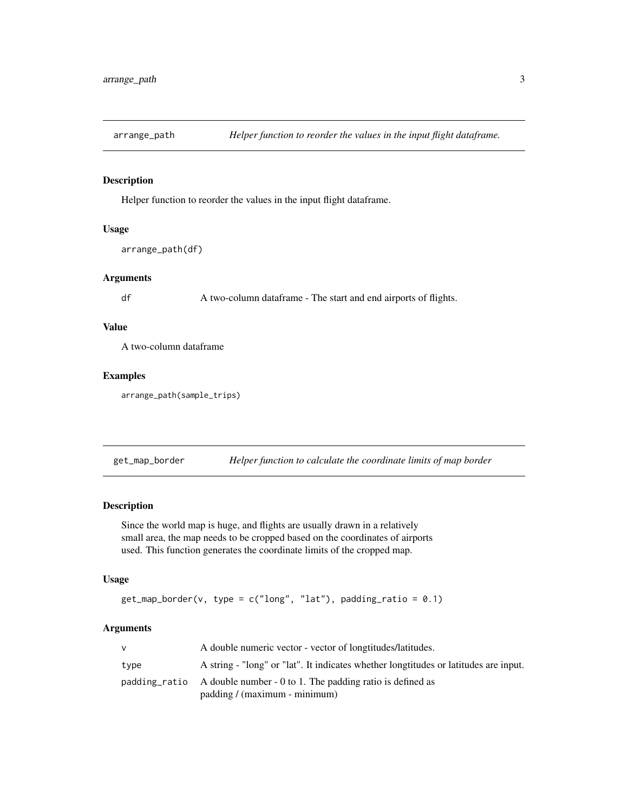<span id="page-2-0"></span>

#### Description

Helper function to reorder the values in the input flight dataframe.

#### Usage

```
arrange_path(df)
```
#### Arguments

df A two-column dataframe - The start and end airports of flights.

#### Value

A two-column dataframe

#### Examples

arrange\_path(sample\_trips)

get\_map\_border *Helper function to calculate the coordinate limits of map border*

#### Description

Since the world map is huge, and flights are usually drawn in a relatively small area, the map needs to be cropped based on the coordinates of airports used. This function generates the coordinate limits of the cropped map.

#### Usage

```
get_map\_border(v, type = c("long", "lat"), padding\_ratio = 0.1)
```
#### Arguments

| v    | A double numeric vector - vector of longtitudes/latitudes.                           |
|------|--------------------------------------------------------------------------------------|
| type | A string - "long" or "lat". It indicates whether longtitudes or latitudes are input. |
|      | padding ratio A double number - 0 to 1. The padding ratio is defined as              |
|      | padding / (maximum - minimum)                                                        |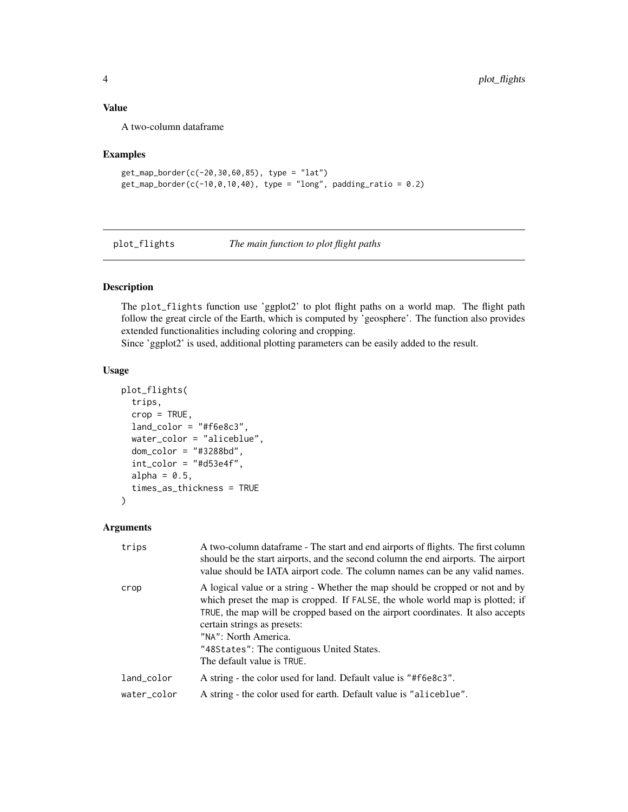#### <span id="page-3-0"></span>Value

A two-column dataframe

#### Examples

```
get_map_border(c(-20,30,60,85), type = "lat")
get_map\_border(c(-10, 0, 10, 40), type = "long", padding\_ratio = 0.2)
```
plot\_flights *The main function to plot flight paths*

#### Description

The plot\_flights function use 'ggplot2' to plot flight paths on a world map. The flight path follow the great circle of the Earth, which is computed by 'geosphere'. The function also provides extended functionalities including coloring and cropping.

Since 'ggplot2' is used, additional plotting parameters can be easily added to the result.

#### Usage

```
plot_flights(
  trips,
  crop = TRUE,land\_color = "#f6e8c3",water_color = "aliceblue",
  dom_color = "#3288bd",
  int\_color = "#d53e4f",
  alpha = 0.5,
  times_as_thickness = TRUE
)
```
#### Arguments

| trips       | A two-column data frame - The start and end airports of flights. The first column<br>should be the start airports, and the second column the end airports. The airport<br>value should be IATA airport code. The column names can be any valid names.                                                                                                                               |
|-------------|-------------------------------------------------------------------------------------------------------------------------------------------------------------------------------------------------------------------------------------------------------------------------------------------------------------------------------------------------------------------------------------|
| crop        | A logical value or a string - Whether the map should be cropped or not and by<br>which preset the map is cropped. If FALSE, the whole world map is plotted; if<br>TRUE, the map will be cropped based on the airport coordinates. It also accepts<br>certain strings as presets:<br>"NA": North America.<br>"48States": The contiguous United States.<br>The default value is TRUE. |
| land_color  | A string - the color used for land. Default value is "#f6e8c3".                                                                                                                                                                                                                                                                                                                     |
| water_color | A string - the color used for earth. Default value is "aliceblue".                                                                                                                                                                                                                                                                                                                  |
|             |                                                                                                                                                                                                                                                                                                                                                                                     |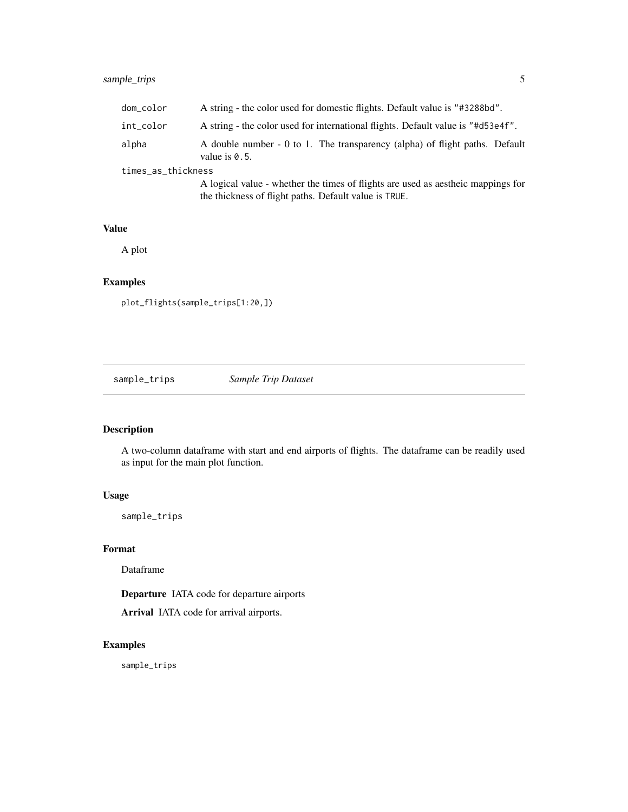## <span id="page-4-0"></span>sample\_trips 5

| dom_color          | A string - the color used for domestic flights. Default value is "#3288bd".                                                                |
|--------------------|--------------------------------------------------------------------------------------------------------------------------------------------|
| int_color          | A string - the color used for international flights. Default value is "#d53e4f".                                                           |
| alpha              | A double number - 0 to 1. The transparency (alpha) of flight paths. Default<br>value is $0.5$ .                                            |
| times_as_thickness |                                                                                                                                            |
|                    | A logical value - whether the times of flights are used as a estheic mappings for<br>the thickness of flight paths. Default value is TRUE. |

#### Value

A plot

## Examples

plot\_flights(sample\_trips[1:20,])

sample\_trips *Sample Trip Dataset*

## Description

A two-column dataframe with start and end airports of flights. The dataframe can be readily used as input for the main plot function.

#### Usage

sample\_trips

#### Format

Dataframe

Departure IATA code for departure airports

Arrival IATA code for arrival airports.

## Examples

sample\_trips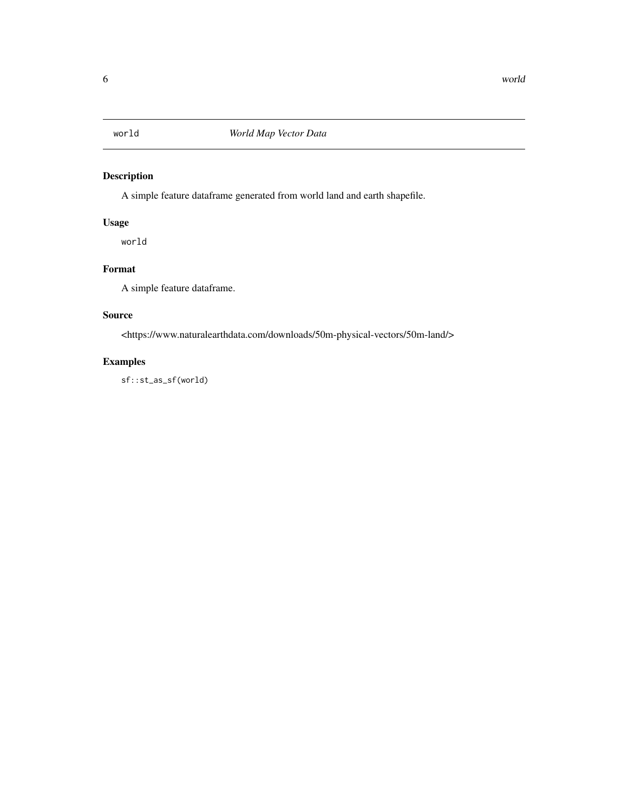<span id="page-5-0"></span>

## Description

A simple feature dataframe generated from world land and earth shapefile.

#### Usage

world

## Format

A simple feature dataframe.

#### Source

<https://www.naturalearthdata.com/downloads/50m-physical-vectors/50m-land/>

## Examples

sf::st\_as\_sf(world)